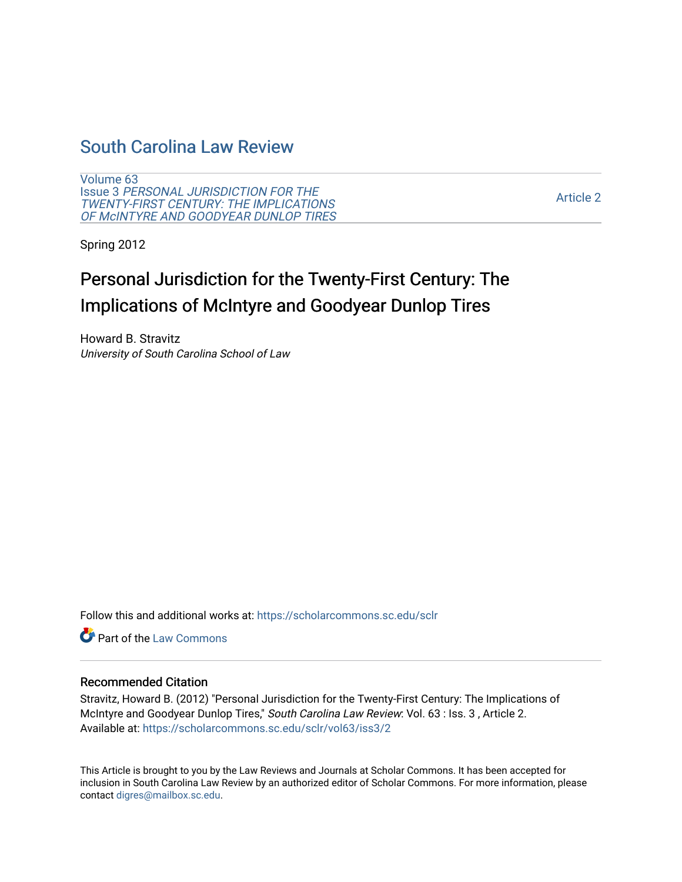## [South Carolina Law Review](https://scholarcommons.sc.edu/sclr)

[Volume 63](https://scholarcommons.sc.edu/sclr/vol63) Issue 3 [PERSONAL JURISDICTION FOR THE](https://scholarcommons.sc.edu/sclr/vol63/iss3)  [TWENTY-FIRST CENTURY: THE IMPLICATIONS](https://scholarcommons.sc.edu/sclr/vol63/iss3) [OF McINTYRE AND GOODYEAR DUNLOP TIRES](https://scholarcommons.sc.edu/sclr/vol63/iss3) 

[Article 2](https://scholarcommons.sc.edu/sclr/vol63/iss3/2) 

Spring 2012

# Personal Jurisdiction for the Twenty-First Century: The Implications of McIntyre and Goodyear Dunlop Tires

Howard B. Stravitz University of South Carolina School of Law

Follow this and additional works at: [https://scholarcommons.sc.edu/sclr](https://scholarcommons.sc.edu/sclr?utm_source=scholarcommons.sc.edu%2Fsclr%2Fvol63%2Fiss3%2F2&utm_medium=PDF&utm_campaign=PDFCoverPages)

**C** Part of the [Law Commons](http://network.bepress.com/hgg/discipline/578?utm_source=scholarcommons.sc.edu%2Fsclr%2Fvol63%2Fiss3%2F2&utm_medium=PDF&utm_campaign=PDFCoverPages)

### Recommended Citation

Stravitz, Howard B. (2012) "Personal Jurisdiction for the Twenty-First Century: The Implications of McIntyre and Goodyear Dunlop Tires," South Carolina Law Review: Vol. 63 : Iss. 3 , Article 2. Available at: [https://scholarcommons.sc.edu/sclr/vol63/iss3/2](https://scholarcommons.sc.edu/sclr/vol63/iss3/2?utm_source=scholarcommons.sc.edu%2Fsclr%2Fvol63%2Fiss3%2F2&utm_medium=PDF&utm_campaign=PDFCoverPages)

This Article is brought to you by the Law Reviews and Journals at Scholar Commons. It has been accepted for inclusion in South Carolina Law Review by an authorized editor of Scholar Commons. For more information, please contact [digres@mailbox.sc.edu.](mailto:digres@mailbox.sc.edu)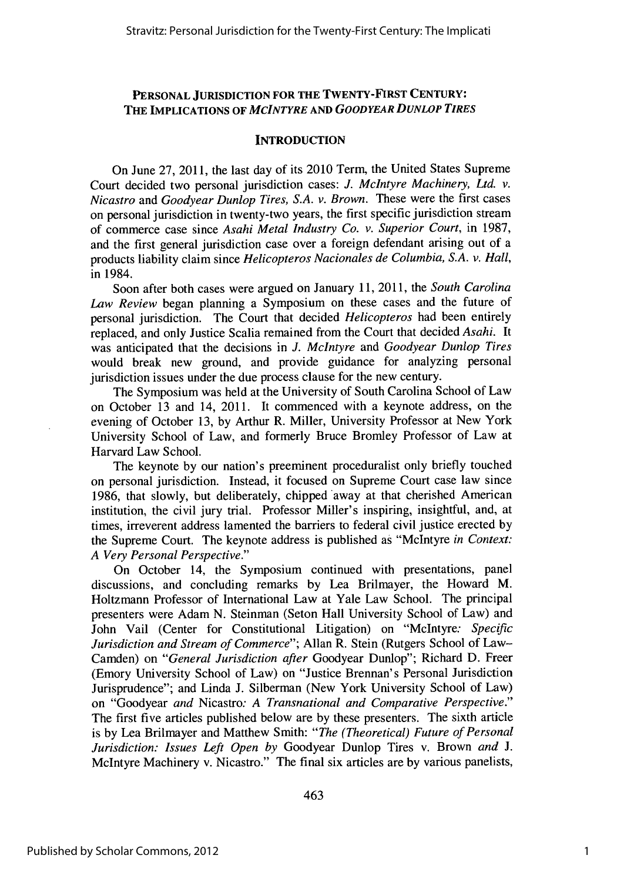### **PERSONAL JURISDICTION FOR THE TWENTY-FIRST CENTURY: THE IMPLICATIONS OF** *MCINTYRE AND GOODYEAR DUNLOP TIRES*

#### **INTRODUCTION**

On June **27,** 2011, the last day of its 2010 Term, the United States Supreme Court decided two personal jurisdiction cases: *J. McIntyre Machinery, Ltd. v. Nicastro* and *Goodyear Dunlop Tires, S.A. v. Brown.* These were the first cases on personal jurisdiction in twenty-two years, the first specific jurisdiction stream of commerce case since *Asahi Metal Industry Co. v. Superior Court,* in **1987,** and the first general jurisdiction case over a foreign defendant arising out of a products liability claim since *Helicopteros Nacionales de Columbia, S.A. v. Hall,* in 1984.

Soon after both cases were argued on January **11,** 2011, the *South Carolina Law Review* began planning a Symposium on these cases and the future of personal jurisdiction. The Court that decided *Helicopteros* had been entirely replaced, and only Justice Scalia remained from the Court that decided *Asahi.* It was anticipated that the decisions in *J. McIntyre* and *Goodyear Dunlop Tires* would break new ground, and provide guidance for analyzing personal jurisdiction issues under the due process clause for the new century.

The Symposium was held at the University of South Carolina School of Law on October **13** and 14, 2011. It commenced with a keynote address, on the evening of October **13, by** Arthur R. Miller, University Professor at New York University School of Law, and formerly Bruce Bromley Professor of Law at Harvard Law School.

The keynote **by** our nation's preeminent proceduralist only briefly touched on personal jurisdiction. Instead, it focused on Supreme Court case law since **1986,** that slowly, but deliberately, chipped away at that cherished American institution, the civil jury trial. Professor Miller's inspiring, insightful, and, at times, irreverent address lamented the barriers to federal civil justice erected **by** the Supreme Court. The keynote address is published as "McIntyre *in Context: A Very Personal Perspective."*

On October 14, the Symposium continued with presentations, panel discussions, and concluding remarks **by** Lea Brilmayer, the Howard M. Holtzmann Professor of International Law at Yale Law School. The principal presenters were Adam **N.** Steinman (Seton Hall University School of Law) and John Vail (Center for Constitutional Litigation) on "McIntyre: *Specific Jurisdiction and Stream of Commerce";* Allan R. Stein (Rutgers School of Law-Camden) on *"General Jurisdiction after* Goodyear Dunlop"; Richard **D.** Freer (Emory University School of Law) on "Justice Brennan's Personal Jurisdiction Jurisprudence"; and Linda **J.** Silberman (New York University School of Law) on "Goodyear *and* Nicastro: *A Transnational and Comparative Perspective."* The first five articles published below are **by** these presenters. The sixth article is **by** Lea Brilmayer and Matthew Smith: *"The (Theoretical) Future of Personal Jurisdiction: Issues Left Open by* Goodyear Dunlop Tires v. Brown *and J.* McIntyre Machinery v. Nicastro." The final six articles are **by** various panelists,